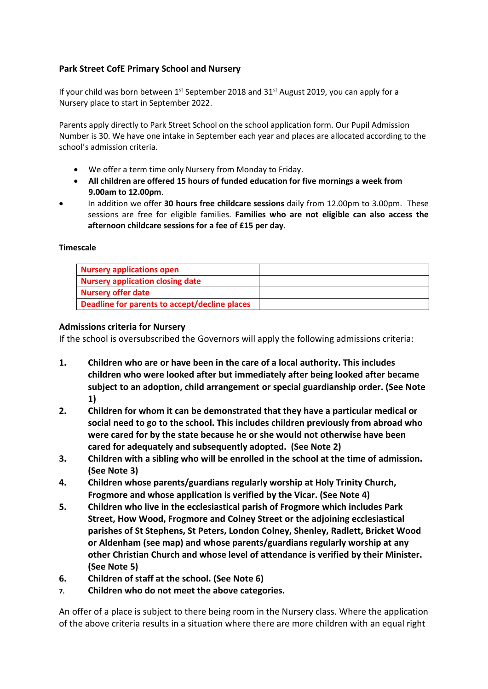# **Park Street CofE Primary School and Nursery**

If your child was born between  $1<sup>st</sup>$  September 2018 and 31 $<sup>st</sup>$  August 2019, you can apply for a</sup> Nursery place to start in September 2022.

Parents apply directly to Park Street School on the school application form. Our Pupil Admission Number is 30. We have one intake in September each year and places are allocated according to the school's admission criteria.

- We offer a term time only Nursery from Monday to Friday.
- **All children are offered 15 hours of funded education for five mornings a week from 9.00am to 12.00pm**.
- In addition we offer **30 hours free childcare sessions** daily from 12.00pm to 3.00pm. These sessions are free for eligible families. **Families who are not eligible can also access the afternoon childcare sessions for a fee of £15 per day**.

## **Timescale**

| <b>Nursery applications open</b>              |  |
|-----------------------------------------------|--|
| Nursery application closing date              |  |
| <b>Nursery offer date</b>                     |  |
| Deadline for parents to accept/decline places |  |

## **Admissions criteria for Nursery**

If the school is oversubscribed the Governors will apply the following admissions criteria:

- **1. Children who are or have been in the care of a local authority. This includes children who were looked after but immediately after being looked after became subject to an adoption, child arrangement or special guardianship order. (See Note 1)**
- **2. Children for whom it can be demonstrated that they have a particular medical or social need to go to the school. This includes children previously from abroad who were cared for by the state because he or she would not otherwise have been cared for adequately and subsequently adopted. (See Note 2)**
- **3. Children with a sibling who will be enrolled in the school at the time of admission. (See Note 3)**
- **4. Children whose parents/guardians regularly worship at Holy Trinity Church, Frogmore and whose application is verified by the Vicar. (See Note 4)**
- **5. Children who live in the ecclesiastical parish of Frogmore which includes Park Street, How Wood, Frogmore and Colney Street or the adjoining ecclesiastical parishes of St Stephens, St Peters, London Colney, Shenley, Radlett, Bricket Wood or Aldenham (see map) and whose parents/guardians regularly worship at any other Christian Church and whose level of attendance is verified by their Minister. (See Note 5)**
- **6. Children of staff at the school. (See Note 6)**
- **7. Children who do not meet the above categories.**

An offer of a place is subject to there being room in the Nursery class. Where the application of the above criteria results in a situation where there are more children with an equal right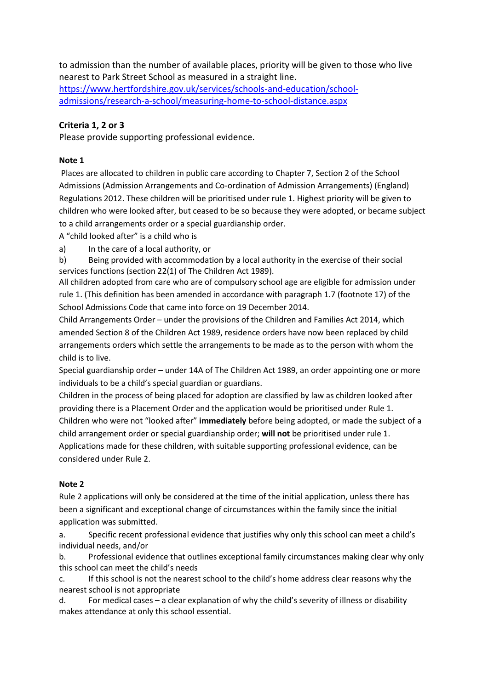to admission than the number of available places, priority will be given to those who live nearest to Park Street School as measured in a straight line. [https://www.hertfordshire.gov.uk/services/schools-and-education/school](https://www.hertfordshire.gov.uk/services/schools-and-education/school-admissions/research-a-school/measuring-home-to-school-distance.aspx)[admissions/research-a-school/measuring-home-to-school-distance.aspx](https://www.hertfordshire.gov.uk/services/schools-and-education/school-admissions/research-a-school/measuring-home-to-school-distance.aspx) 

## **Criteria 1, 2 or 3**

Please provide supporting professional evidence.

### **Note 1**

Places are allocated to children in public care according to Chapter 7, Section 2 of the School Admissions (Admission Arrangements and Co-ordination of Admission Arrangements) (England) Regulations 2012. These children will be prioritised under rule 1. Highest priority will be given to children who were looked after, but ceased to be so because they were adopted, or became subject to a child arrangements order or a special guardianship order.

A "child looked after" is a child who is

a) In the care of a local authority, or

b) Being provided with accommodation by a local authority in the exercise of their social services functions (section 22(1) of The Children Act 1989).

All children adopted from care who are of compulsory school age are eligible for admission under rule 1. (This definition has been amended in accordance with paragraph 1.7 (footnote 17) of the School Admissions Code that came into force on 19 December 2014.

Child Arrangements Order – under the provisions of the Children and Families Act 2014, which amended Section 8 of the Children Act 1989, residence orders have now been replaced by child arrangements orders which settle the arrangements to be made as to the person with whom the child is to live.

Special guardianship order – under 14A of The Children Act 1989, an order appointing one or more individuals to be a child's special guardian or guardians.

Children in the process of being placed for adoption are classified by law as children looked after providing there is a Placement Order and the application would be prioritised under Rule 1. Children who were not "looked after" **immediately** before being adopted, or made the subject of a child arrangement order or special guardianship order; **will not** be prioritised under rule 1. Applications made for these children, with suitable supporting professional evidence, can be considered under Rule 2.

### **Note 2**

Rule 2 applications will only be considered at the time of the initial application, unless there has been a significant and exceptional change of circumstances within the family since the initial application was submitted.

a. Specific recent professional evidence that justifies why only this school can meet a child's individual needs, and/or

b. Professional evidence that outlines exceptional family circumstances making clear why only this school can meet the child's needs

c. If this school is not the nearest school to the child's home address clear reasons why the nearest school is not appropriate

d. For medical cases – a clear explanation of why the child's severity of illness or disability makes attendance at only this school essential.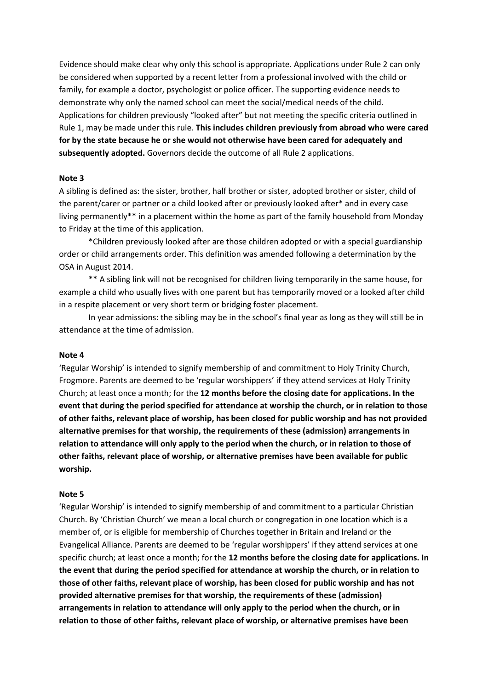Evidence should make clear why only this school is appropriate. Applications under Rule 2 can only be considered when supported by a recent letter from a professional involved with the child or family, for example a doctor, psychologist or police officer. The supporting evidence needs to demonstrate why only the named school can meet the social/medical needs of the child. Applications for children previously "looked after" but not meeting the specific criteria outlined in Rule 1, may be made under this rule. **This includes children previously from abroad who were cared for by the state because he or she would not otherwise have been cared for adequately and subsequently adopted.** Governors decide the outcome of all Rule 2 applications.

#### **Note 3**

A sibling is defined as: the sister, brother, half brother or sister, adopted brother or sister, child of the parent/carer or partner or a child looked after or previously looked after\* and in every case living permanently\*\* in a placement within the home as part of the family household from Monday to Friday at the time of this application.

\*Children previously looked after are those children adopted or with a special guardianship order or child arrangements order. This definition was amended following a determination by the OSA in August 2014.

\*\* A sibling link will not be recognised for children living temporarily in the same house, for example a child who usually lives with one parent but has temporarily moved or a looked after child in a respite placement or very short term or bridging foster placement.

In year admissions: the sibling may be in the school's final year as long as they will still be in attendance at the time of admission.

#### **Note 4**

'Regular Worship' is intended to signify membership of and commitment to Holy Trinity Church, Frogmore. Parents are deemed to be 'regular worshippers' if they attend services at Holy Trinity Church; at least once a month; for the **12 months before the closing date for applications. In the event that during the period specified for attendance at worship the church, or in relation to those of other faiths, relevant place of worship, has been closed for public worship and has not provided alternative premises for that worship, the requirements of these (admission) arrangements in relation to attendance will only apply to the period when the church, or in relation to those of other faiths, relevant place of worship, or alternative premises have been available for public worship.**

#### **Note 5**

'Regular Worship' is intended to signify membership of and commitment to a particular Christian Church. By 'Christian Church' we mean a local church or congregation in one location which is a member of, or is eligible for membership of Churches together in Britain and Ireland or the Evangelical Alliance. Parents are deemed to be 'regular worshippers' if they attend services at one specific church; at least once a month; for the **12 months before the closing date for applications. In the event that during the period specified for attendance at worship the church, or in relation to those of other faiths, relevant place of worship, has been closed for public worship and has not provided alternative premises for that worship, the requirements of these (admission) arrangements in relation to attendance will only apply to the period when the church, or in relation to those of other faiths, relevant place of worship, or alternative premises have been**